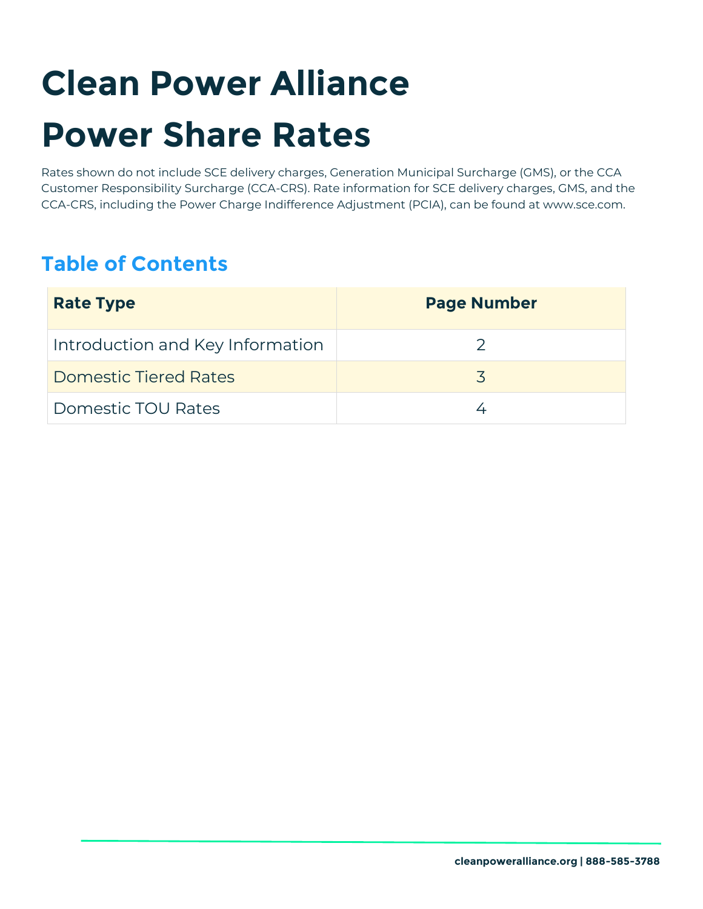# **Clean Power Alliance Power Share Rates**

Rates shown do not include SCE delivery charges, Generation Municipal Surcharge (GMS), or the CCA Customer Responsibility Surcharge (CCA-CRS). Rate information for SCE delivery charges, GMS, and the CCA-CRS, including the Power Charge Indifference Adjustment (PCIA), can be found at www.sce.com.

# **Table of Contents**

| <b>Rate Type</b>                 | <b>Page Number</b> |
|----------------------------------|--------------------|
| Introduction and Key Information |                    |
| <b>Domestic Tiered Rates</b>     |                    |
| Domestic TOU Rates               |                    |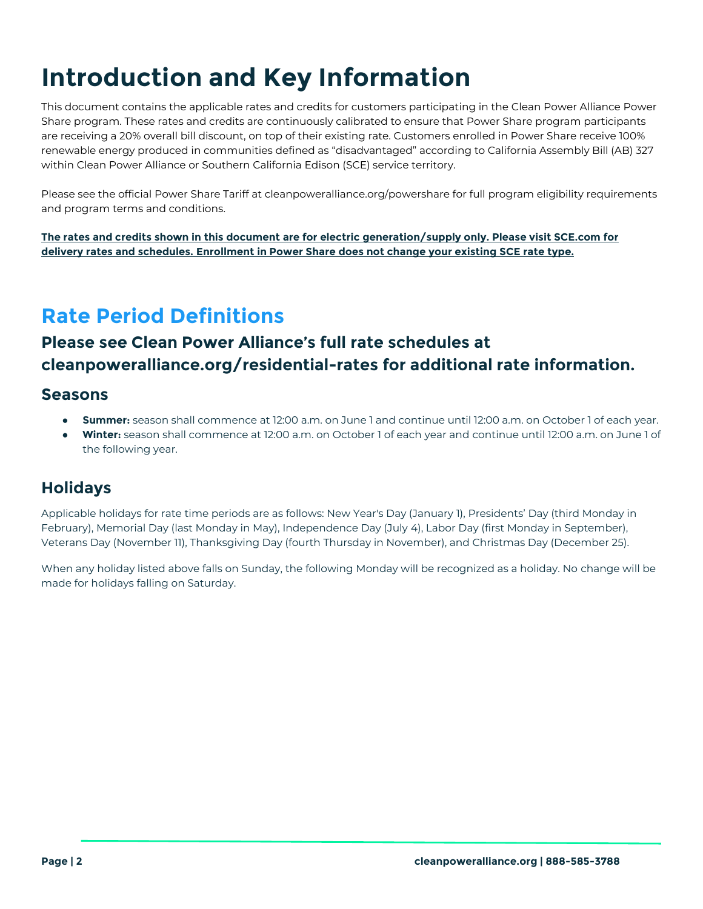# **Introduction and Key Information**

This document contains the applicable rates and credits for customers participating in the Clean Power Alliance Power Share program. These rates and credits are continuously calibrated to ensure that Power Share program participants are receiving a 20% overall bill discount, on top of their existing rate. Customers enrolled in Power Share receive 100% renewable energy produced in communities defined as "disadvantaged" according to California Assembly Bill (AB) 327 within Clean Power Alliance or Southern California Edison (SCE) service territory.

Please see the official Power Share Tariff at cleanpoweralliance.org/powershare for full program eligibility requirements and program terms and conditions.

**The rates and credits shown in this document are for electric generation/supply only. Please visit SCE.com for delivery rates and schedules. Enrollment in Power Share does not change your existing SCE rate type.** 

# **Rate Period Definitions**

### **Please see Clean Power Alliance's full rate schedules at cleanpoweralliance.org/residential-rates for additional rate information.**

#### **Seasons**

- **Summer:** season shall commence at 12:00 a.m. on June 1 and continue until 12:00 a.m. on October 1 of each year.
- Winter: season shall commence at 12:00 a.m. on October 1 of each year and continue until 12:00 a.m. on June 1 of the following year.

### **Holidays**

Applicable holidays for rate time periods are as follows: New Year's Day (January 1), Presidents' Day (third Monday in February), Memorial Day (last Monday in May), Independence Day (July 4), Labor Day (first Monday in September), Veterans Day (November 11), Thanksgiving Day (fourth Thursday in November), and Christmas Day (December 25).

When any holiday listed above falls on Sunday, the following Monday will be recognized as a holiday. No change will be made for holidays falling on Saturday.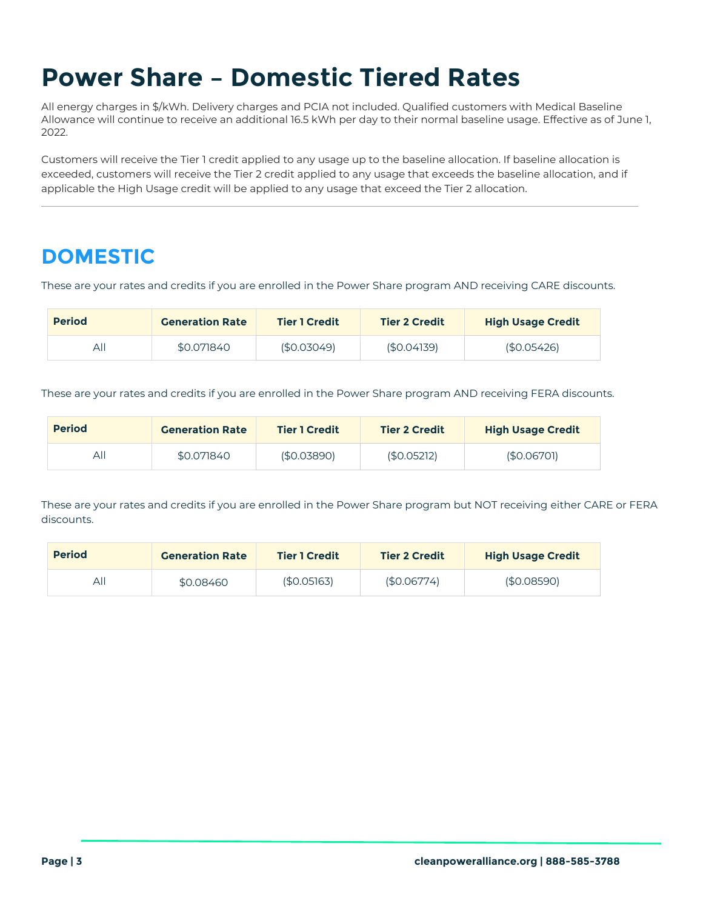# **Power Share – Domestic Tiered Rates**

All energy charges in \$/kWh. Delivery charges and PCIA not included. Qualified customers with Medical Baseline Allowance will continue to receive an additional 16.5 kWh per day to their normal baseline usage. Effective as of June 1, 2022.

Customers will receive the Tier 1 credit applied to any usage up to the baseline allocation. If baseline allocation is exceeded, customers will receive the Tier 2 credit applied to any usage that exceeds the baseline allocation, and if applicable the High Usage credit will be applied to any usage that exceed the Tier 2 allocation.

# **DOMESTIC**

These are your rates and credits if you are enrolled in the Power Share program AND receiving CARE discounts.

| <b>Period</b> | <b>Generation Rate</b> | <b>Tier 1 Credit</b> | <b>Tier 2 Credit</b> | <b>High Usage Credit</b> |
|---------------|------------------------|----------------------|----------------------|--------------------------|
| All           | \$0.071840             | (\$0.03049)          | (\$0.04139)          | (\$0.05426)              |

These are your rates and credits if you are enrolled in the Power Share program AND receiving FERA discounts.

| <b>Period</b> | <b>Generation Rate</b> | <b>Tier 1 Credit</b> | <b>Tier 2 Credit</b> | <b>High Usage Credit</b> |
|---------------|------------------------|----------------------|----------------------|--------------------------|
| All           | \$0.071840             | (\$0.03890)          | (\$0.05212)          | (S0.06701)               |

| <b>Period</b> | <b>Generation Rate</b> | <b>Tier 1 Credit</b> | <b>Tier 2 Credit</b> | <b>High Usage Credit</b> |
|---------------|------------------------|----------------------|----------------------|--------------------------|
| ΑI            | \$0.08460              | (\$0.05]63)          | (\$0.06774)          | (\$0.08590)              |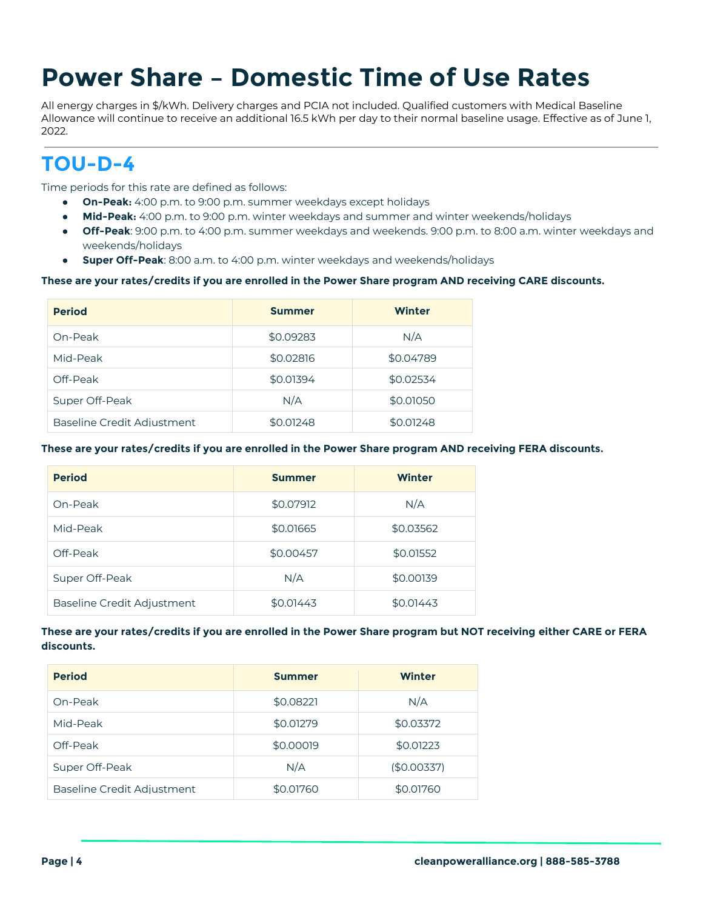# **Power Share – Domestic Time of Use Rates**

All energy charges in \$/kWh. Delivery charges and PCIA not included. Qualified customers with Medical Baseline Allowance will continue to receive an additional 16.5 kWh per day to their normal baseline usage. Effective as of June 1, 2022.

### **TOU-D-4**

*Time periods for this rate are defined as follows:*

- *On-Peak: 4:00 p.m. to 9:00 p.m. summer weekdays except holidays*
- *Mid-Peak: 4:00 p.m. to 9:00 p.m. winter weekdays and summer and winter weekends/holidays*
- *Off-Peak: 9:00 p.m. to 4:00 p.m. summer weekdays and weekends. 9:00 p.m. to 8:00 a.m. winter weekdays and weekends/holidays*
- *Super Off-Peak: 8:00 a.m. to 4:00 p.m. winter weekdays and weekends/holidays*

#### **These are your rates/credits if you are enrolled in the Power Share program AND receiving CARE discounts.**

| <b>Period</b>                     | <b>Summer</b> | Winter    |
|-----------------------------------|---------------|-----------|
| On-Peak                           | \$0.09283     | N/A       |
| Mid-Peak                          | \$0.02816     | \$0.04789 |
| Off-Peak                          | \$0.01394     | \$0.02534 |
| Super Off-Peak                    | N/A           | \$0.01050 |
| <b>Baseline Credit Adjustment</b> | \$0.01248     | \$0.01248 |

#### **These are your rates/credits if you are enrolled in the Power Share program AND receiving FERA discounts.**

| <b>Period</b>              | <b>Summer</b> | <b>Winter</b> |
|----------------------------|---------------|---------------|
| On-Peak                    | \$0.07912     | N/A           |
| Mid-Peak                   | \$0.01665     | \$0.03562     |
| Off-Peak                   | \$0.00457     | \$0.01552     |
| Super Off-Peak             | N/A           | \$0.00139     |
| Baseline Credit Adjustment | \$0.01443     | \$0.01443     |

| <b>Period</b>              | <b>Summer</b> | Winter      |
|----------------------------|---------------|-------------|
| On-Peak                    | \$0.08221     | N/A         |
| Mid-Peak                   | \$0.01279     | \$0.03372   |
| Off-Peak                   | \$0.00019     | \$0.01223   |
| Super Off-Peak             | N/A           | (\$0.00337) |
| Baseline Credit Adiustment | \$0.01760     | \$0.01760   |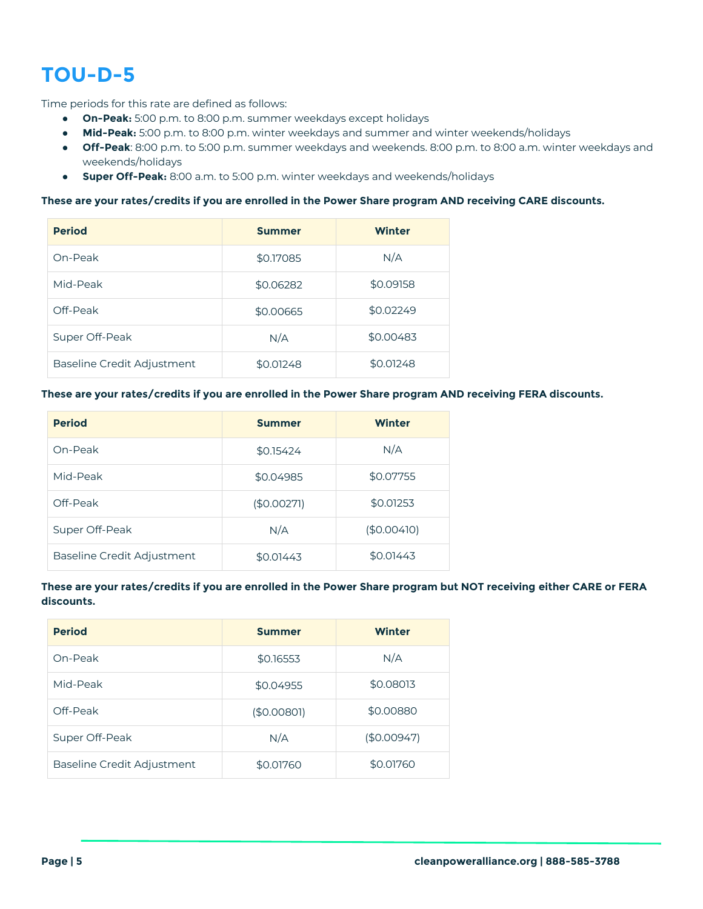# **TOU-D-5**

*Time periods for this rate are defined as follows:*

- *On-Peak: 5:00 p.m. to 8:00 p.m. summer weekdays except holidays*
- *Mid-Peak: 5:00 p.m. to 8:00 p.m. winter weekdays and summer and winter weekends/holidays*
- *Off-Peak: 8:00 p.m. to 5:00 p.m. summer weekdays and weekends. 8:00 p.m. to 8:00 a.m. winter weekdays and weekends/holidays*
- *Super Off-Peak: 8:00 a.m. to 5:00 p.m. winter weekdays and weekends/holidays*

#### **These are your rates/credits if you are enrolled in the Power Share program AND receiving CARE discounts.**

| <b>Period</b>              | <b>Summer</b> | <b>Winter</b> |
|----------------------------|---------------|---------------|
| On-Peak                    | \$0.17085     | N/A           |
| Mid-Peak                   | \$0.06282     | \$0.09158     |
| Off-Peak                   | \$0.00665     | \$0.02249     |
| Super Off-Peak             | N/A           | \$0.00483     |
| Baseline Credit Adjustment | \$0.01248     | \$0.01248     |

#### **These are your rates/credits if you are enrolled in the Power Share program AND receiving FERA discounts.**

| <b>Period</b>              | <b>Summer</b> | Winter      |
|----------------------------|---------------|-------------|
| On-Peak                    | \$0.15424     | N/A         |
| Mid-Peak                   | \$0.04985     | \$0.07755   |
| Off-Peak                   | (\$0.0027]    | \$0.01253   |
| Super Off-Peak             | N/A           | (\$0.00410) |
| Baseline Credit Adjustment | \$0.01443     | \$0.01443   |

| <b>Period</b>              | <b>Summer</b> | Winter      |
|----------------------------|---------------|-------------|
| On-Peak                    | \$0.16553     | N/A         |
| Mid-Peak                   | \$0.04955     | \$0.08013   |
| Off-Peak                   | (\$0.0080]    | \$0.00880   |
| Super Off-Peak             | N/A           | (\$0.00947) |
| Baseline Credit Adjustment | \$0.01760     | \$0.01760   |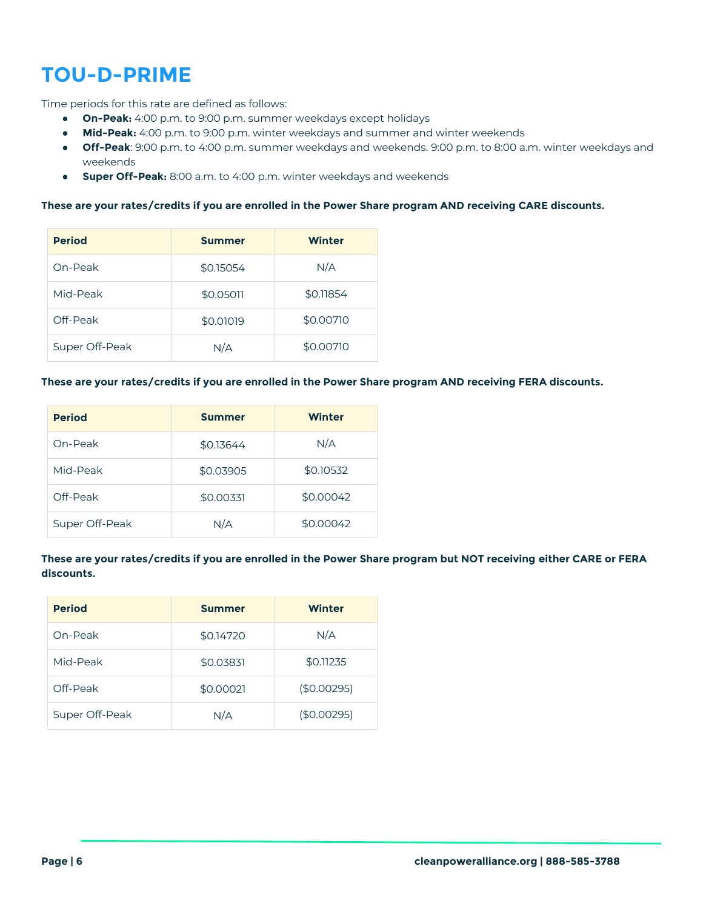# **TOU-D-PRIME**

*Time periods for this rate are defined as follows:*

- *On-Peak: 4:00 p.m. to 9:00 p.m. summer weekdays except holidays*
- *Mid-Peak: 4:00 p.m. to 9:00 p.m. winter weekdays and summer and winter weekends*
- *Off-Peak: 9:00 p.m. to 4:00 p.m. summer weekdays and weekends. 9:00 p.m. to 8:00 a.m. winter weekdays and weekends*
- *Super Off-Peak: 8:00 a.m. to 4:00 p.m. winter weekdays and weekends*

#### **These are your rates/credits if you are enrolled in the Power Share program AND receiving CARE discounts.**

| <b>Period</b>  | <b>Summer</b> | Winter    |
|----------------|---------------|-----------|
| On-Peak        | \$0.15054     | N/A       |
| Mid-Peak       | \$0.05011     | \$0.11854 |
| Off-Peak       | \$0.01019     | \$0.00710 |
| Super Off-Peak | N/A           | \$0.00710 |

#### **These are your rates/credits if you are enrolled in the Power Share program AND receiving FERA discounts.**

| <b>Period</b>  | <b>Summer</b> | Winter    |
|----------------|---------------|-----------|
| On-Peak        | \$0.13644     | N/A       |
| Mid-Peak       | \$0.03905     | \$0.10532 |
| Off-Peak       | \$0.00331     | \$0.00042 |
| Super Off-Peak | N/A           | \$0.00042 |

| <b>Period</b>  | <b>Summer</b> | Winter      |
|----------------|---------------|-------------|
| On-Peak        | \$0.14720     | N/A         |
| Mid-Peak       | \$0.03831     | \$0.11235   |
| Off-Peak       | \$0.00021     | (\$0.00295) |
| Super Off-Peak | N/A           | (\$0.00295) |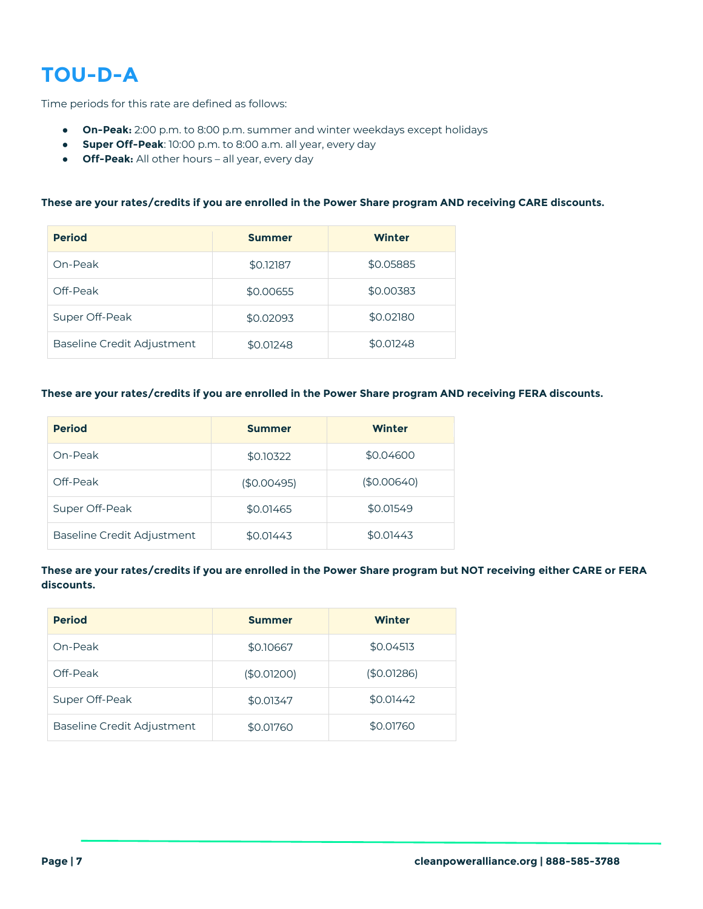# **TOU-D-A**

*Time periods for this rate are defined as follows:* 

- *On-Peak: 2:00 p.m. to 8:00 p.m. summer and winter weekdays except holidays*
- *Super Off-Peak: 10:00 p.m. to 8:00 a.m. all year, every day*
- *Off-Peak: All other hours – all year, every day*

#### **These are your rates/credits if you are enrolled in the Power Share program AND receiving CARE discounts.**

| <b>Period</b>              | <b>Summer</b> | <b>Winter</b> |
|----------------------------|---------------|---------------|
| On-Peak                    | \$0.12187     | \$0.05885     |
| Off-Peak                   | \$0.00655     | \$0.00383     |
| Super Off-Peak             | \$0.02093     | \$0.02180     |
| Baseline Credit Adjustment | \$0.01248     | \$0.01248     |

#### **These are your rates/credits if you are enrolled in the Power Share program AND receiving FERA discounts.**

| <b>Period</b>              | <b>Summer</b> | Winter      |
|----------------------------|---------------|-------------|
| On-Peak                    | \$0.10322     | \$0.04600   |
| Off-Peak                   | (\$0.00495)   | (\$0.00640) |
| Super Off-Peak             | \$0.01465     | \$0.01549   |
| Baseline Credit Adjustment | \$0.01443     | \$0.01443   |

| <b>Period</b>              | <b>Summer</b> | <b>Winter</b> |
|----------------------------|---------------|---------------|
| On-Peak                    | \$0.10667     | \$0.04513     |
| Off-Peak                   | (\$0.01200)   | (\$0.01286)   |
| Super Off-Peak             | \$0.01347     | \$0.01442     |
| Baseline Credit Adjustment | \$0.01760     | \$0.01760     |